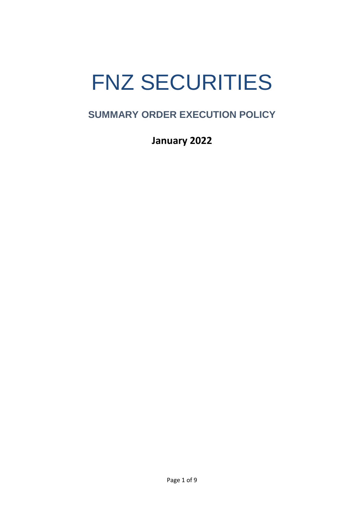# FNZ SECURITIES

# **SUMMARY ORDER EXECUTION POLICY**

**January 2022**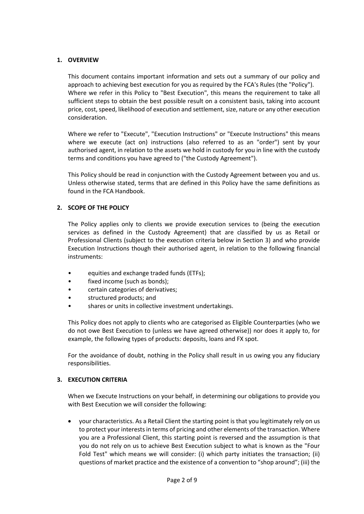# **1. OVERVIEW**

This document contains important information and sets out a summary of our policy and approach to achieving best execution for you as required by the FCA's Rules (the "Policy"). Where we refer in this Policy to "Best Execution", this means the requirement to take all sufficient steps to obtain the best possible result on a consistent basis, taking into account price, cost, speed, likelihood of execution and settlement, size, nature or any other execution consideration.

Where we refer to "Execute", "Execution Instructions" or "Execute Instructions" this means where we execute (act on) instructions (also referred to as an "order") sent by your authorised agent, in relation to the assets we hold in custody for you in line with the custody terms and conditions you have agreed to ("the Custody Agreement").

This Policy should be read in conjunction with the Custody Agreement between you and us. Unless otherwise stated, terms that are defined in this Policy have the same definitions as found in the FCA Handbook.

# **2. SCOPE OF THE POLICY**

The Policy applies only to clients we provide execution services to (being the execution services as defined in the Custody Agreement) that are classified by us as Retail or Professional Clients (subject to the execution criteria below in Section 3) and who provide Execution Instructions though their authorised agent, in relation to the following financial instruments:

- equities and exchange traded funds (ETFs);
- fixed income (such as bonds);
- certain categories of derivatives;
- structured products; and
- shares or units in collective investment undertakings.

This Policy does not apply to clients who are categorised as Eligible Counterparties (who we do not owe Best Execution to (unless we have agreed otherwise)) nor does it apply to, for example, the following types of products: deposits, loans and FX spot.

For the avoidance of doubt, nothing in the Policy shall result in us owing you any fiduciary responsibilities.

#### **3. EXECUTION CRITERIA**

When we Execute Instructions on your behalf, in determining our obligations to provide you with Best Execution we will consider the following:

 your characteristics. As a Retail Client the starting point is that you legitimately rely on us to protect your interests in terms of pricing and other elements of the transaction. Where you are a Professional Client, this starting point is reversed and the assumption is that you do not rely on us to achieve Best Execution subject to what is known as the "Four Fold Test" which means we will consider: (i) which party initiates the transaction; (ii) questions of market practice and the existence of a convention to "shop around"; (iii) the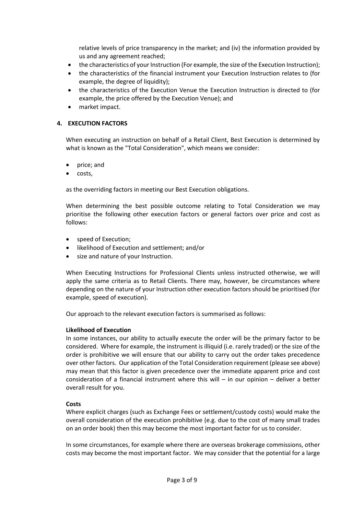relative levels of price transparency in the market; and (iv) the information provided by us and any agreement reached;

- the characteristics of your Instruction (For example, the size of the Execution Instruction);
- the characteristics of the financial instrument your Execution Instruction relates to (for example, the degree of liquidity);
- the characteristics of the Execution Venue the Execution Instruction is directed to (for example, the price offered by the Execution Venue); and
- market impact.

#### **4. EXECUTION FACTORS**

When executing an instruction on behalf of a Retail Client, Best Execution is determined by what is known as the "Total Consideration", which means we consider:

- price; and
- costs,

as the overriding factors in meeting our Best Execution obligations.

When determining the best possible outcome relating to Total Consideration we may prioritise the following other execution factors or general factors over price and cost as follows:

- speed of Execution;
- likelihood of Execution and settlement; and/or
- size and nature of your Instruction.

When Executing Instructions for Professional Clients unless instructed otherwise, we will apply the same criteria as to Retail Clients. There may, however, be circumstances where depending on the nature of your Instruction other execution factors should be prioritised (for example, speed of execution).

Our approach to the relevant execution factors is summarised as follows:

#### **Likelihood of Execution**

In some instances, our ability to actually execute the order will be the primary factor to be considered. Where for example, the instrument is illiquid (i.e. rarely traded) or the size of the order is prohibitive we will ensure that our ability to carry out the order takes precedence over other factors. Our application of the Total Consideration requirement (please see above) may mean that this factor is given precedence over the immediate apparent price and cost consideration of a financial instrument where this will – in our opinion – deliver a better overall result for you.

#### **Costs**

Where explicit charges (such as Exchange Fees or settlement/custody costs) would make the overall consideration of the execution prohibitive (e.g. due to the cost of many small trades on an order book) then this may become the most important factor for us to consider.

In some circumstances, for example where there are overseas brokerage commissions, other costs may become the most important factor. We may consider that the potential for a large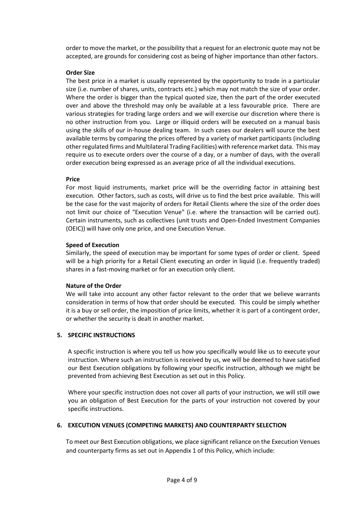order to move the market, or the possibility that a request for an electronic quote may not be accepted, are grounds for considering cost as being of higher importance than other factors.

# **Order Size**

The best price in a market is usually represented by the opportunity to trade in a particular size (i.e. number of shares, units, contracts etc.) which may not match the size of your order. Where the order is bigger than the typical quoted size, then the part of the order executed over and above the threshold may only be available at a less favourable price. There are various strategies for trading large orders and we will exercise our discretion where there is no other instruction from you. Large or illiquid orders will be executed on a manual basis using the skills of our in-house dealing team. In such cases our dealers will source the best available terms by comparing the prices offered by a variety of market participants (including other regulated firms and Multilateral Trading Facilities) with reference market data. This may require us to execute orders over the course of a day, or a number of days, with the overall order execution being expressed as an average price of all the individual executions.

#### **Price**

For most liquid instruments, market price will be the overriding factor in attaining best execution. Other factors, such as costs, will drive us to find the best price available. This will be the case for the vast majority of orders for Retail Clients where the size of the order does not limit our choice of "Execution Venue" (i.e. where the transaction will be carried out). Certain instruments, such as collectives (unit trusts and Open-Ended Investment Companies (OEIC)) will have only one price, and one Execution Venue.

# **Speed of Execution**

Similarly, the speed of execution may be important for some types of order or client. Speed will be a high priority for a Retail Client executing an order in liquid (i.e. frequently traded) shares in a fast-moving market or for an execution only client.

#### **Nature of the Order**

We will take into account any other factor relevant to the order that we believe warrants consideration in terms of how that order should be executed. This could be simply whether it is a buy or sell order, the imposition of price limits, whether it is part of a contingent order, or whether the security is dealt in another market.

#### **5. SPECIFIC INSTRUCTIONS**

A specific instruction is where you tell us how you specifically would like us to execute your instruction. Where such an instruction is received by us, we will be deemed to have satisfied our Best Execution obligations by following your specific instruction, although we might be prevented from achieving Best Execution as set out in this Policy.

Where your specific instruction does not cover all parts of your instruction, we will still owe you an obligation of Best Execution for the parts of your instruction not covered by your specific instructions.

# **6. EXECUTION VENUES (COMPETING MARKETS) AND COUNTERPARTY SELECTION**

To meet our Best Execution obligations, we place significant reliance on the Execution Venues and counterparty firms as set out in Appendix 1 of this Policy, which include: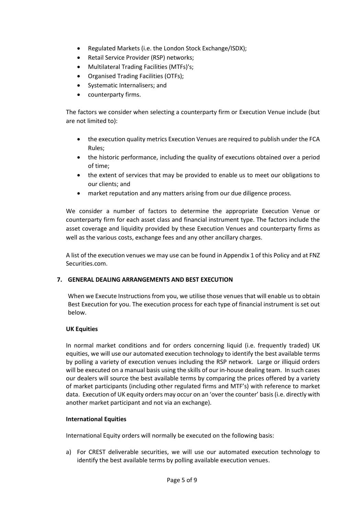- Regulated Markets (i.e. the London Stock Exchange/ISDX);
- Retail Service Provider (RSP) networks;
- Multilateral Trading Facilities (MTFs)'s;
- Organised Trading Facilities (OTFs);
- Systematic Internalisers; and
- counterparty firms.

The factors we consider when selecting a counterparty firm or Execution Venue include (but are not limited to):

- the execution quality metrics Execution Venues are required to publish under the FCA Rules;
- the historic performance, including the quality of executions obtained over a period of time;
- the extent of services that may be provided to enable us to meet our obligations to our clients; and
- market reputation and any matters arising from our due diligence process.

We consider a number of factors to determine the appropriate Execution Venue or counterparty firm for each asset class and financial instrument type. The factors include the asset coverage and liquidity provided by these Execution Venues and counterparty firms as well as the various costs, exchange fees and any other ancillary charges.

A list of the execution venues we may use can be found in Appendix 1 of this Policy and at FNZ Securities.com.

# **7. GENERAL DEALING ARRANGEMENTS AND BEST EXECUTION**

When we Execute Instructions from you, we utilise those venues that will enable us to obtain Best Execution for you. The execution process for each type of financial instrument is set out below.

#### **UK Equities**

In normal market conditions and for orders concerning liquid (i.e. frequently traded) UK equities, we will use our automated execution technology to identify the best available terms by polling a variety of execution venues including the RSP network. Large or illiquid orders will be executed on a manual basis using the skills of our in-house dealing team. In such cases our dealers will source the best available terms by comparing the prices offered by a variety of market participants (including other regulated firms and MTF's) with reference to market data. Execution of UK equity orders may occur on an 'over the counter' basis(i.e. directly with another market participant and not via an exchange).

#### **International Equities**

International Equity orders will normally be executed on the following basis:

a) For CREST deliverable securities, we will use our automated execution technology to identify the best available terms by polling available execution venues.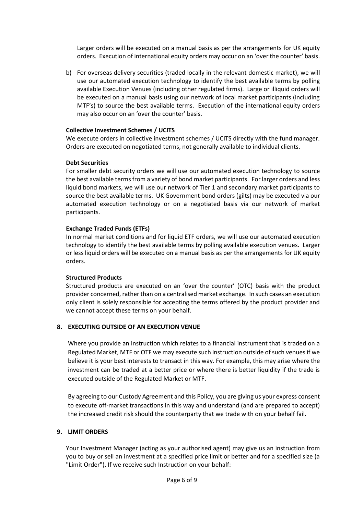Larger orders will be executed on a manual basis as per the arrangements for UK equity orders. Execution of international equity orders may occur on an 'over the counter' basis.

b) For overseas delivery securities (traded locally in the relevant domestic market), we will use our automated execution technology to identify the best available terms by polling available Execution Venues (including other regulated firms). Large or illiquid orders will be executed on a manual basis using our network of local market participants (including MTF's) to source the best available terms. Execution of the international equity orders may also occur on an 'over the counter' basis.

#### **Collective Investment Schemes / UCITS**

We execute orders in collective investment schemes / UCITS directly with the fund manager. Orders are executed on negotiated terms, not generally available to individual clients.

#### **Debt Securities**

For smaller debt security orders we will use our automated execution technology to source the best available terms from a variety of bond market participants. For larger orders and less liquid bond markets, we will use our network of Tier 1 and secondary market participants to source the best available terms. UK Government bond orders (gilts) may be executed via our automated execution technology or on a negotiated basis via our network of market participants.

# **Exchange Traded Funds (ETFs)**

In normal market conditions and for liquid ETF orders, we will use our automated execution technology to identify the best available terms by polling available execution venues. Larger or less liquid orders will be executed on a manual basis as per the arrangements for UK equity orders.

#### **Structured Products**

Structured products are executed on an 'over the counter' (OTC) basis with the product provider concerned, rather than on a centralised market exchange. In such cases an execution only client is solely responsible for accepting the terms offered by the product provider and we cannot accept these terms on your behalf.

# **8. EXECUTING OUTSIDE OF AN EXECUTION VENUE**

Where you provide an instruction which relates to a financial instrument that is traded on a Regulated Market, MTF or OTF we may execute such instruction outside of such venues if we believe it is your best interests to transact in this way. For example, this may arise where the investment can be traded at a better price or where there is better liquidity if the trade is executed outside of the Regulated Market or MTF.

By agreeing to our Custody Agreement and this Policy, you are giving us your express consent to execute off-market transactions in this way and understand (and are prepared to accept) the increased credit risk should the counterparty that we trade with on your behalf fail.

#### **9. LIMIT ORDERS**

Your Investment Manager (acting as your authorised agent) may give us an instruction from you to buy or sell an investment at a specified price limit or better and for a specified size (a "Limit Order"). If we receive such Instruction on your behalf: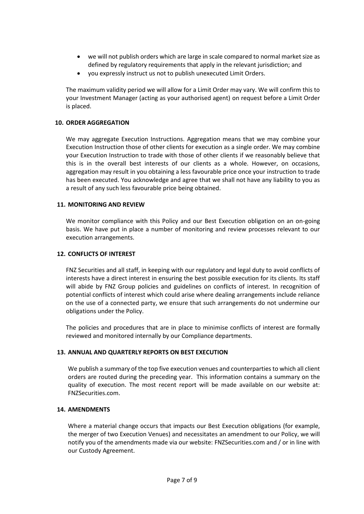- we will not publish orders which are large in scale compared to normal market size as defined by regulatory requirements that apply in the relevant jurisdiction; and
- you expressly instruct us not to publish unexecuted Limit Orders.

The maximum validity period we will allow for a Limit Order may vary. We will confirm this to your Investment Manager (acting as your authorised agent) on request before a Limit Order is placed.

# **10. ORDER AGGREGATION**

We may aggregate Execution Instructions. Aggregation means that we may combine your Execution Instruction those of other clients for execution as a single order. We may combine your Execution Instruction to trade with those of other clients if we reasonably believe that this is in the overall best interests of our clients as a whole. However, on occasions, aggregation may result in you obtaining a less favourable price once your instruction to trade has been executed. You acknowledge and agree that we shall not have any liability to you as a result of any such less favourable price being obtained.

# **11. MONITORING AND REVIEW**

We monitor compliance with this Policy and our Best Execution obligation on an on-going basis. We have put in place a number of monitoring and review processes relevant to our execution arrangements.

# **12. CONFLICTS OF INTEREST**

FNZ Securities and all staff, in keeping with our regulatory and legal duty to avoid conflicts of interests have a direct interest in ensuring the best possible execution for its clients. Its staff will abide by FNZ Group policies and guidelines on conflicts of interest. In recognition of potential conflicts of interest which could arise where dealing arrangements include reliance on the use of a connected party, we ensure that such arrangements do not undermine our obligations under the Policy.

The policies and procedures that are in place to minimise conflicts of interest are formally reviewed and monitored internally by our Compliance departments.

# **13. ANNUAL AND QUARTERLY REPORTS ON BEST EXECUTION**

We publish a summary of the top five execution venues and counterparties to which all client orders are routed during the preceding year. This information contains a summary on the quality of execution. The most recent report will be made available on our website at: FNZSecurities.com.

#### **14. AMENDMENTS**

Where a material change occurs that impacts our Best Execution obligations (for example, the merger of two Execution Venues) and necessitates an amendment to our Policy, we will notify you of the amendments made via our website: FNZSecurities.com and / or in line with our Custody Agreement.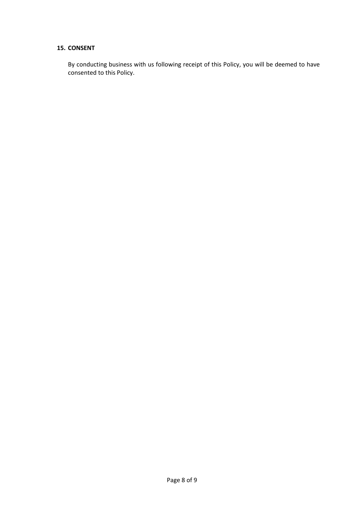# **15. CONSENT**

By conducting business with us following receipt of this Policy, you will be deemed to have consented to this Policy.